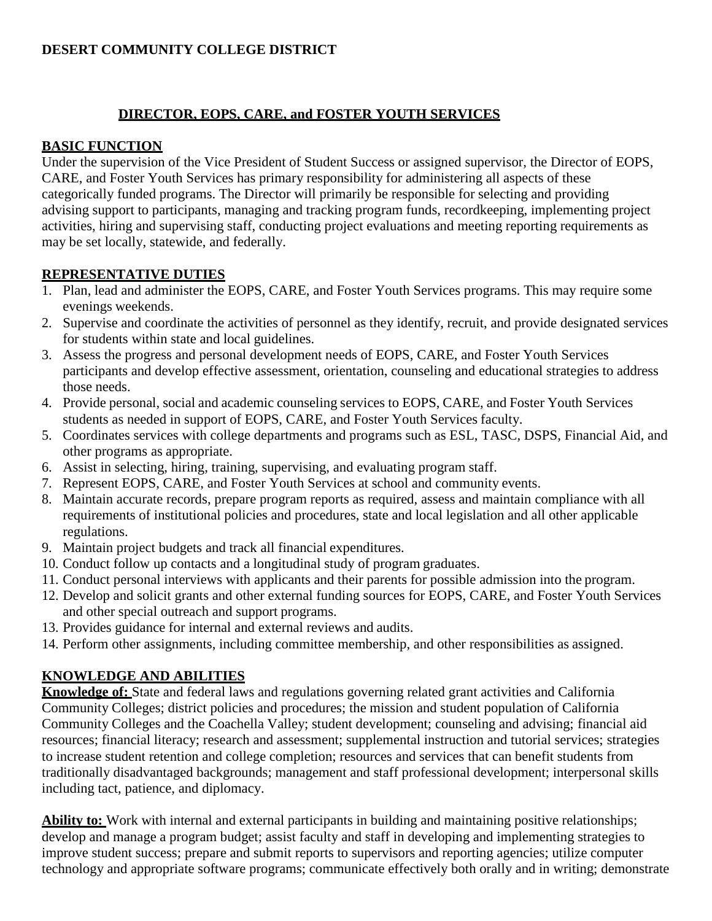# **DESERT COMMUNITY COLLEGE DISTRICT**

### **DIRECTOR, EOPS, CARE, and FOSTER YOUTH SERVICES**

#### **BASIC FUNCTION**

Under the supervision of the Vice President of Student Success or assigned supervisor, the Director of EOPS, CARE, and Foster Youth Services has primary responsibility for administering all aspects of these categorically funded programs. The Director will primarily be responsible for selecting and providing advising support to participants, managing and tracking program funds, recordkeeping, implementing project activities, hiring and supervising staff, conducting project evaluations and meeting reporting requirements as may be set locally, statewide, and federally.

### **REPRESENTATIVE DUTIES**

- 1. Plan, lead and administer the EOPS, CARE, and Foster Youth Services programs. This may require some evenings weekends.
- 2. Supervise and coordinate the activities of personnel as they identify, recruit, and provide designated services for students within state and local guidelines.
- 3. Assess the progress and personal development needs of EOPS, CARE, and Foster Youth Services participants and develop effective assessment, orientation, counseling and educational strategies to address those needs.
- 4. Provide personal, social and academic counseling services to EOPS, CARE, and Foster Youth Services students as needed in support of EOPS, CARE, and Foster Youth Services faculty.
- 5. Coordinates services with college departments and programs such as ESL, TASC, DSPS, Financial Aid, and other programs as appropriate.
- 6. Assist in selecting, hiring, training, supervising, and evaluating program staff.
- 7. Represent EOPS, CARE, and Foster Youth Services at school and community events.
- 8. Maintain accurate records, prepare program reports as required, assess and maintain compliance with all requirements of institutional policies and procedures, state and local legislation and all other applicable regulations.
- 9. Maintain project budgets and track all financial expenditures.
- 10. Conduct follow up contacts and a longitudinal study of program graduates.
- 11. Conduct personal interviews with applicants and their parents for possible admission into the program.
- 12. Develop and solicit grants and other external funding sources for EOPS, CARE, and Foster Youth Services and other special outreach and support programs.
- 13. Provides guidance for internal and external reviews and audits.
- 14. Perform other assignments, including committee membership, and other responsibilities as assigned.

# **KNOWLEDGE AND ABILITIES**

**Knowledge of:** State and federal laws and regulations governing related grant activities and California Community Colleges; district policies and procedures; the mission and student population of California Community Colleges and the Coachella Valley; student development; counseling and advising; financial aid resources; financial literacy; research and assessment; supplemental instruction and tutorial services; strategies to increase student retention and college completion; resources and services that can benefit students from traditionally disadvantaged backgrounds; management and staff professional development; interpersonal skills including tact, patience, and diplomacy.

**Ability to:** Work with internal and external participants in building and maintaining positive relationships; develop and manage a program budget; assist faculty and staff in developing and implementing strategies to improve student success; prepare and submit reports to supervisors and reporting agencies; utilize computer technology and appropriate software programs; communicate effectively both orally and in writing; demonstrate